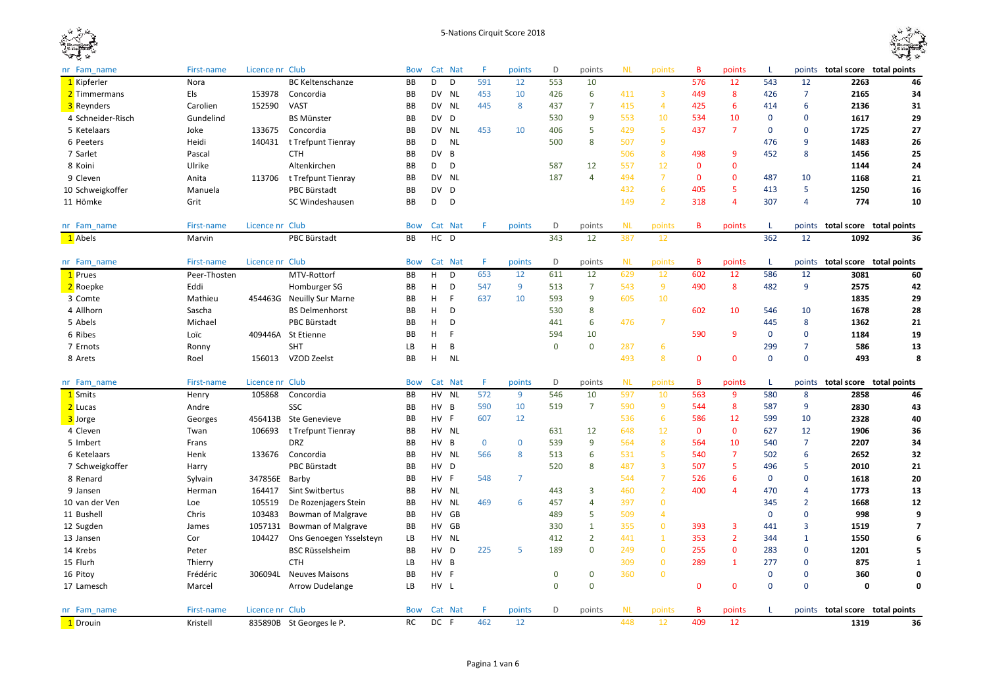



| 1 Kipferler<br>D<br>D<br>553<br>10<br>576<br>543<br>12<br>2263<br>Nora<br><b>BC Keltenschanze</b><br>BB<br>591<br>12<br>12<br>DV NL<br>6<br>8<br>$\overline{7}$<br>2165<br>2 Timmermans<br>Els<br>153978<br>Concordia<br>BB<br>453<br>10<br>426<br>411<br>3<br>449<br>426<br>$\overline{7}$<br>152590<br><b>NL</b><br>445<br>8<br>$\overline{4}$<br>425<br>6<br>6<br>2136<br>3 Reynders<br>Carolien<br><b>VAST</b><br>BB<br>DV<br>437<br>415<br>414<br>9<br>553<br>10<br>BB<br><b>DV</b><br>530<br>534<br>10<br>0<br>$\mathbf 0$<br>1617<br>4 Schneider-Risch<br>Gundelind<br><b>BS Münster</b><br>D<br>5<br>5<br>$\overline{7}$<br>1725<br>5 Ketelaars<br>Joke<br>133675<br>Concordia<br>BB<br>DV<br>NL<br>453<br>10<br>406<br>429<br>437<br>$\mathbf 0$<br>$\mathbf 0$<br>140431<br><b>NL</b><br>8<br>507<br>9<br>9<br>1483<br>6 Peeters<br>Heidi<br>t Trefpunt Tienray<br>BB<br>D<br>500<br>476<br><b>DV</b><br>B<br>506<br>8<br>498<br>9<br>452<br>8<br>1456<br>7 Sarlet<br>Pascal<br><b>CTH</b><br>BB<br>12<br>557<br>$\mathbf{0}$<br>8 Koini<br>Ulrike<br>Altenkirchen<br>BB<br>D<br>D<br>587<br>12<br>$\mathbf{0}$<br>1144<br>DV NL<br>$\overline{7}$<br>187<br>4<br>494<br>$\mathbf 0$<br>9 Cleven<br>BB<br>$\mathbf{0}$<br>487<br>10<br>1168<br>Anita<br>113706<br>t Trefpunt Tienray<br>6<br>5<br><b>PBC Bürstadt</b><br>BB<br><b>DV</b><br>D<br>432<br>405<br>413<br>5<br>1250<br>10 Schweigkoffer<br>Manuela<br>$\overline{2}$<br>774<br>SC Windeshausen<br>D<br>D<br>149<br>318<br>307<br>$\overline{4}$<br>11 Hömke<br>Grit<br>BB<br>4<br>Licence nr Club<br><b>NL</b><br>B<br>nr Fam name<br>First-name<br><b>Bow</b><br>Cat Nat<br>F<br>points<br>D<br>points<br>points<br>points<br>L<br>points total score total points<br>1092<br>PBC Bürstadt<br>HC D<br>343<br>12<br>362<br>12<br>1 Abels<br>Marvin<br>387<br>12<br>BB<br>Licence nr Club<br>F.<br>D<br><b>NL</b><br>First-name<br><b>Bow</b><br>Cat Nat<br>points<br>points<br>points<br>B<br>points<br>L<br>points<br>total score total points<br>nr Fam name<br>653<br>611<br>629<br>602<br>586<br>1 Prues<br>Peer-Thosten<br>MTV-Rottorf<br>BB<br>H<br>D<br>12<br>12<br>12<br>12<br>12<br>3081<br>D<br>9<br>9<br>490<br>8<br>482<br>9<br>2575<br>2 Roepke<br>Eddi<br>Homburger SG<br>BB<br>н<br>547<br>513<br>7<br>543<br>42<br>H<br>F<br>593<br>9<br>605<br>10<br>BB<br>637<br>10<br>1835<br>3 Comte<br>Mathieu<br>454463G Neuilly Sur Marne<br>8<br>602<br>10<br>H<br>D<br>530<br>546<br>10<br>1678<br>4 Allhorn<br>Sascha<br><b>BS Delmenhorst</b><br>BB | nr Fam name | First-name | Licence nr Club |              | <b>Bow</b> |   | Cat Nat | F | points | D   | points | <b>NL</b> | points         | B | points | т.  |   | points total score total points |                |
|--------------------------------------------------------------------------------------------------------------------------------------------------------------------------------------------------------------------------------------------------------------------------------------------------------------------------------------------------------------------------------------------------------------------------------------------------------------------------------------------------------------------------------------------------------------------------------------------------------------------------------------------------------------------------------------------------------------------------------------------------------------------------------------------------------------------------------------------------------------------------------------------------------------------------------------------------------------------------------------------------------------------------------------------------------------------------------------------------------------------------------------------------------------------------------------------------------------------------------------------------------------------------------------------------------------------------------------------------------------------------------------------------------------------------------------------------------------------------------------------------------------------------------------------------------------------------------------------------------------------------------------------------------------------------------------------------------------------------------------------------------------------------------------------------------------------------------------------------------------------------------------------------------------------------------------------------------------------------------------------------------------------------------------------------------------------------------------------------------------------------------------------------------------------------------------------------------------------------------------------------------------------------------------------------------------------------------------------------------------------------------------------------------------------------------------------------------------------------------------------------------------------------------------|-------------|------------|-----------------|--------------|------------|---|---------|---|--------|-----|--------|-----------|----------------|---|--------|-----|---|---------------------------------|----------------|
|                                                                                                                                                                                                                                                                                                                                                                                                                                                                                                                                                                                                                                                                                                                                                                                                                                                                                                                                                                                                                                                                                                                                                                                                                                                                                                                                                                                                                                                                                                                                                                                                                                                                                                                                                                                                                                                                                                                                                                                                                                                                                                                                                                                                                                                                                                                                                                                                                                                                                                                                      |             |            |                 |              |            |   |         |   |        |     |        |           |                |   |        |     |   |                                 | 46             |
|                                                                                                                                                                                                                                                                                                                                                                                                                                                                                                                                                                                                                                                                                                                                                                                                                                                                                                                                                                                                                                                                                                                                                                                                                                                                                                                                                                                                                                                                                                                                                                                                                                                                                                                                                                                                                                                                                                                                                                                                                                                                                                                                                                                                                                                                                                                                                                                                                                                                                                                                      |             |            |                 |              |            |   |         |   |        |     |        |           |                |   |        |     |   |                                 | 34             |
|                                                                                                                                                                                                                                                                                                                                                                                                                                                                                                                                                                                                                                                                                                                                                                                                                                                                                                                                                                                                                                                                                                                                                                                                                                                                                                                                                                                                                                                                                                                                                                                                                                                                                                                                                                                                                                                                                                                                                                                                                                                                                                                                                                                                                                                                                                                                                                                                                                                                                                                                      |             |            |                 |              |            |   |         |   |        |     |        |           |                |   |        |     |   |                                 | 31             |
|                                                                                                                                                                                                                                                                                                                                                                                                                                                                                                                                                                                                                                                                                                                                                                                                                                                                                                                                                                                                                                                                                                                                                                                                                                                                                                                                                                                                                                                                                                                                                                                                                                                                                                                                                                                                                                                                                                                                                                                                                                                                                                                                                                                                                                                                                                                                                                                                                                                                                                                                      |             |            |                 |              |            |   |         |   |        |     |        |           |                |   |        |     |   |                                 | 29             |
|                                                                                                                                                                                                                                                                                                                                                                                                                                                                                                                                                                                                                                                                                                                                                                                                                                                                                                                                                                                                                                                                                                                                                                                                                                                                                                                                                                                                                                                                                                                                                                                                                                                                                                                                                                                                                                                                                                                                                                                                                                                                                                                                                                                                                                                                                                                                                                                                                                                                                                                                      |             |            |                 |              |            |   |         |   |        |     |        |           |                |   |        |     |   |                                 | 27             |
|                                                                                                                                                                                                                                                                                                                                                                                                                                                                                                                                                                                                                                                                                                                                                                                                                                                                                                                                                                                                                                                                                                                                                                                                                                                                                                                                                                                                                                                                                                                                                                                                                                                                                                                                                                                                                                                                                                                                                                                                                                                                                                                                                                                                                                                                                                                                                                                                                                                                                                                                      |             |            |                 |              |            |   |         |   |        |     |        |           |                |   |        |     |   |                                 | 26             |
|                                                                                                                                                                                                                                                                                                                                                                                                                                                                                                                                                                                                                                                                                                                                                                                                                                                                                                                                                                                                                                                                                                                                                                                                                                                                                                                                                                                                                                                                                                                                                                                                                                                                                                                                                                                                                                                                                                                                                                                                                                                                                                                                                                                                                                                                                                                                                                                                                                                                                                                                      |             |            |                 |              |            |   |         |   |        |     |        |           |                |   |        |     |   |                                 | 25             |
|                                                                                                                                                                                                                                                                                                                                                                                                                                                                                                                                                                                                                                                                                                                                                                                                                                                                                                                                                                                                                                                                                                                                                                                                                                                                                                                                                                                                                                                                                                                                                                                                                                                                                                                                                                                                                                                                                                                                                                                                                                                                                                                                                                                                                                                                                                                                                                                                                                                                                                                                      |             |            |                 |              |            |   |         |   |        |     |        |           |                |   |        |     |   |                                 | 24             |
|                                                                                                                                                                                                                                                                                                                                                                                                                                                                                                                                                                                                                                                                                                                                                                                                                                                                                                                                                                                                                                                                                                                                                                                                                                                                                                                                                                                                                                                                                                                                                                                                                                                                                                                                                                                                                                                                                                                                                                                                                                                                                                                                                                                                                                                                                                                                                                                                                                                                                                                                      |             |            |                 |              |            |   |         |   |        |     |        |           |                |   |        |     |   |                                 | 21             |
|                                                                                                                                                                                                                                                                                                                                                                                                                                                                                                                                                                                                                                                                                                                                                                                                                                                                                                                                                                                                                                                                                                                                                                                                                                                                                                                                                                                                                                                                                                                                                                                                                                                                                                                                                                                                                                                                                                                                                                                                                                                                                                                                                                                                                                                                                                                                                                                                                                                                                                                                      |             |            |                 |              |            |   |         |   |        |     |        |           |                |   |        |     |   |                                 | 16             |
|                                                                                                                                                                                                                                                                                                                                                                                                                                                                                                                                                                                                                                                                                                                                                                                                                                                                                                                                                                                                                                                                                                                                                                                                                                                                                                                                                                                                                                                                                                                                                                                                                                                                                                                                                                                                                                                                                                                                                                                                                                                                                                                                                                                                                                                                                                                                                                                                                                                                                                                                      |             |            |                 |              |            |   |         |   |        |     |        |           |                |   |        |     |   |                                 | 10             |
|                                                                                                                                                                                                                                                                                                                                                                                                                                                                                                                                                                                                                                                                                                                                                                                                                                                                                                                                                                                                                                                                                                                                                                                                                                                                                                                                                                                                                                                                                                                                                                                                                                                                                                                                                                                                                                                                                                                                                                                                                                                                                                                                                                                                                                                                                                                                                                                                                                                                                                                                      |             |            |                 |              |            |   |         |   |        |     |        |           |                |   |        |     |   |                                 |                |
|                                                                                                                                                                                                                                                                                                                                                                                                                                                                                                                                                                                                                                                                                                                                                                                                                                                                                                                                                                                                                                                                                                                                                                                                                                                                                                                                                                                                                                                                                                                                                                                                                                                                                                                                                                                                                                                                                                                                                                                                                                                                                                                                                                                                                                                                                                                                                                                                                                                                                                                                      |             |            |                 |              |            |   |         |   |        |     |        |           |                |   |        |     |   |                                 | 36             |
|                                                                                                                                                                                                                                                                                                                                                                                                                                                                                                                                                                                                                                                                                                                                                                                                                                                                                                                                                                                                                                                                                                                                                                                                                                                                                                                                                                                                                                                                                                                                                                                                                                                                                                                                                                                                                                                                                                                                                                                                                                                                                                                                                                                                                                                                                                                                                                                                                                                                                                                                      |             |            |                 |              |            |   |         |   |        |     |        |           |                |   |        |     |   |                                 |                |
|                                                                                                                                                                                                                                                                                                                                                                                                                                                                                                                                                                                                                                                                                                                                                                                                                                                                                                                                                                                                                                                                                                                                                                                                                                                                                                                                                                                                                                                                                                                                                                                                                                                                                                                                                                                                                                                                                                                                                                                                                                                                                                                                                                                                                                                                                                                                                                                                                                                                                                                                      |             |            |                 |              |            |   |         |   |        |     |        |           |                |   |        |     |   |                                 | 60             |
|                                                                                                                                                                                                                                                                                                                                                                                                                                                                                                                                                                                                                                                                                                                                                                                                                                                                                                                                                                                                                                                                                                                                                                                                                                                                                                                                                                                                                                                                                                                                                                                                                                                                                                                                                                                                                                                                                                                                                                                                                                                                                                                                                                                                                                                                                                                                                                                                                                                                                                                                      |             |            |                 |              |            |   |         |   |        |     |        |           |                |   |        |     |   |                                 |                |
|                                                                                                                                                                                                                                                                                                                                                                                                                                                                                                                                                                                                                                                                                                                                                                                                                                                                                                                                                                                                                                                                                                                                                                                                                                                                                                                                                                                                                                                                                                                                                                                                                                                                                                                                                                                                                                                                                                                                                                                                                                                                                                                                                                                                                                                                                                                                                                                                                                                                                                                                      |             |            |                 |              |            |   |         |   |        |     |        |           |                |   |        |     |   |                                 | 29             |
|                                                                                                                                                                                                                                                                                                                                                                                                                                                                                                                                                                                                                                                                                                                                                                                                                                                                                                                                                                                                                                                                                                                                                                                                                                                                                                                                                                                                                                                                                                                                                                                                                                                                                                                                                                                                                                                                                                                                                                                                                                                                                                                                                                                                                                                                                                                                                                                                                                                                                                                                      |             |            |                 |              |            |   |         |   |        |     |        |           |                |   |        |     |   |                                 | 28             |
|                                                                                                                                                                                                                                                                                                                                                                                                                                                                                                                                                                                                                                                                                                                                                                                                                                                                                                                                                                                                                                                                                                                                                                                                                                                                                                                                                                                                                                                                                                                                                                                                                                                                                                                                                                                                                                                                                                                                                                                                                                                                                                                                                                                                                                                                                                                                                                                                                                                                                                                                      | 5 Abels     | Michael    |                 | PBC Bürstadt | BB         | H | D       |   |        | 441 | 6      | 476       | $\overline{7}$ |   |        | 445 | 8 | 1362                            | 21             |
| BB<br>H<br>F<br>594<br>10<br>590<br>9<br>$\mathbf{0}$<br>$\mathbf 0$<br>1184<br>6 Ribes<br>Loïc<br>409446A St Etienne                                                                                                                                                                                                                                                                                                                                                                                                                                                                                                                                                                                                                                                                                                                                                                                                                                                                                                                                                                                                                                                                                                                                                                                                                                                                                                                                                                                                                                                                                                                                                                                                                                                                                                                                                                                                                                                                                                                                                                                                                                                                                                                                                                                                                                                                                                                                                                                                                |             |            |                 |              |            |   |         |   |        |     |        |           |                |   |        |     |   |                                 | 19             |
| $\mathbf 0$<br>6<br>SHT<br>LB<br>H<br>B<br>$\mathbf 0$<br>287<br>299<br>$\overline{7}$<br>586<br>7 Ernots<br>Ronny                                                                                                                                                                                                                                                                                                                                                                                                                                                                                                                                                                                                                                                                                                                                                                                                                                                                                                                                                                                                                                                                                                                                                                                                                                                                                                                                                                                                                                                                                                                                                                                                                                                                                                                                                                                                                                                                                                                                                                                                                                                                                                                                                                                                                                                                                                                                                                                                                   |             |            |                 |              |            |   |         |   |        |     |        |           |                |   |        |     |   |                                 | 13             |
| <b>NL</b><br>8<br>$\mathbf 0$<br>BB<br>H<br>493<br>$\mathbf{0}$<br>$\mathbf{0}$<br>$\mathbf 0$<br>156013<br>VZOD Zeelst<br>493<br>8 Arets<br>Roel                                                                                                                                                                                                                                                                                                                                                                                                                                                                                                                                                                                                                                                                                                                                                                                                                                                                                                                                                                                                                                                                                                                                                                                                                                                                                                                                                                                                                                                                                                                                                                                                                                                                                                                                                                                                                                                                                                                                                                                                                                                                                                                                                                                                                                                                                                                                                                                    |             |            |                 |              |            |   |         |   |        |     |        |           |                |   |        |     |   |                                 | 8              |
|                                                                                                                                                                                                                                                                                                                                                                                                                                                                                                                                                                                                                                                                                                                                                                                                                                                                                                                                                                                                                                                                                                                                                                                                                                                                                                                                                                                                                                                                                                                                                                                                                                                                                                                                                                                                                                                                                                                                                                                                                                                                                                                                                                                                                                                                                                                                                                                                                                                                                                                                      |             |            |                 |              |            |   |         |   |        |     |        |           |                |   |        |     |   |                                 |                |
| Licence nr Club<br>D<br><b>NL</b><br>B<br>points total score total points<br>nr Fam name<br>First-name<br><b>Bow</b><br>Cat Nat<br>F<br>points<br>points<br>points<br>points<br>т.                                                                                                                                                                                                                                                                                                                                                                                                                                                                                                                                                                                                                                                                                                                                                                                                                                                                                                                                                                                                                                                                                                                                                                                                                                                                                                                                                                                                                                                                                                                                                                                                                                                                                                                                                                                                                                                                                                                                                                                                                                                                                                                                                                                                                                                                                                                                                   |             |            |                 |              |            |   |         |   |        |     |        |           |                |   |        |     |   |                                 |                |
| 546<br>597<br>BB<br><b>HV</b><br><b>NL</b><br>572<br>9<br>10<br>10<br>563<br>9<br>580<br>8<br>2858<br>1 Smits<br>Henry<br>105868<br>Concordia                                                                                                                                                                                                                                                                                                                                                                                                                                                                                                                                                                                                                                                                                                                                                                                                                                                                                                                                                                                                                                                                                                                                                                                                                                                                                                                                                                                                                                                                                                                                                                                                                                                                                                                                                                                                                                                                                                                                                                                                                                                                                                                                                                                                                                                                                                                                                                                        |             |            |                 |              |            |   |         |   |        |     |        |           |                |   |        |     |   |                                 | 46             |
| SSC<br>590<br>519<br>$\overline{7}$<br>590<br>9<br>544<br>8<br>587<br>9<br>2 Lucas<br>BB<br>HV <sub>B</sub><br>10<br>2830<br>Andre                                                                                                                                                                                                                                                                                                                                                                                                                                                                                                                                                                                                                                                                                                                                                                                                                                                                                                                                                                                                                                                                                                                                                                                                                                                                                                                                                                                                                                                                                                                                                                                                                                                                                                                                                                                                                                                                                                                                                                                                                                                                                                                                                                                                                                                                                                                                                                                                   |             |            |                 |              |            |   |         |   |        |     |        |           |                |   |        |     |   |                                 | 43             |
| HV F<br>607<br>6<br>2328<br>3 Jorge<br>456413B<br>Ste Genevieve<br><b>BB</b><br>12<br>536<br>586<br>12<br>599<br>10<br>Georges                                                                                                                                                                                                                                                                                                                                                                                                                                                                                                                                                                                                                                                                                                                                                                                                                                                                                                                                                                                                                                                                                                                                                                                                                                                                                                                                                                                                                                                                                                                                                                                                                                                                                                                                                                                                                                                                                                                                                                                                                                                                                                                                                                                                                                                                                                                                                                                                       |             |            |                 |              |            |   |         |   |        |     |        |           |                |   |        |     |   |                                 | 40             |
| 12<br>$\mathbf 0$<br>106693<br>BB<br>HV NL<br>631<br>12<br>648<br>$\mathbf 0$<br>627<br>12<br>1906<br>4 Cleven<br>Twan<br>t Trefpunt Tienray                                                                                                                                                                                                                                                                                                                                                                                                                                                                                                                                                                                                                                                                                                                                                                                                                                                                                                                                                                                                                                                                                                                                                                                                                                                                                                                                                                                                                                                                                                                                                                                                                                                                                                                                                                                                                                                                                                                                                                                                                                                                                                                                                                                                                                                                                                                                                                                         |             |            |                 |              |            |   |         |   |        |     |        |           |                |   |        |     |   |                                 | 36             |
| 2207<br>5 Imbert<br><b>DRZ</b><br>BB<br>HV<br>B<br>$\mathbf 0$<br>$\mathbf 0$<br>539<br>9<br>564<br>8<br>564<br>10<br>540<br>$\overline{7}$<br>Frans                                                                                                                                                                                                                                                                                                                                                                                                                                                                                                                                                                                                                                                                                                                                                                                                                                                                                                                                                                                                                                                                                                                                                                                                                                                                                                                                                                                                                                                                                                                                                                                                                                                                                                                                                                                                                                                                                                                                                                                                                                                                                                                                                                                                                                                                                                                                                                                 |             |            |                 |              |            |   |         |   |        |     |        |           |                |   |        |     |   |                                 | 34             |
| 6<br>5<br>$\overline{7}$<br>502<br>6<br>BB<br>HV NL<br>566<br>8<br>513<br>531<br>540<br>6 Ketelaars<br>Henk<br>133676<br>Concordia<br>2652                                                                                                                                                                                                                                                                                                                                                                                                                                                                                                                                                                                                                                                                                                                                                                                                                                                                                                                                                                                                                                                                                                                                                                                                                                                                                                                                                                                                                                                                                                                                                                                                                                                                                                                                                                                                                                                                                                                                                                                                                                                                                                                                                                                                                                                                                                                                                                                           |             |            |                 |              |            |   |         |   |        |     |        |           |                |   |        |     |   |                                 | 32             |
| $\overline{\mathbf{3}}$<br>5<br>8<br>5<br>7 Schweigkoffer<br>PBC Bürstadt<br>BB<br>HV<br>D<br>520<br>487<br>507<br>496<br>2010<br>Harry                                                                                                                                                                                                                                                                                                                                                                                                                                                                                                                                                                                                                                                                                                                                                                                                                                                                                                                                                                                                                                                                                                                                                                                                                                                                                                                                                                                                                                                                                                                                                                                                                                                                                                                                                                                                                                                                                                                                                                                                                                                                                                                                                                                                                                                                                                                                                                                              |             |            |                 |              |            |   |         |   |        |     |        |           |                |   |        |     |   |                                 | 21             |
| $\overline{7}$<br>1618<br>8 Renard<br>347856E<br>Barby<br>BB<br>HV<br>-F<br>548<br>7<br>544<br>526<br>6<br>$\mathbf 0$<br>0<br>Sylvain                                                                                                                                                                                                                                                                                                                                                                                                                                                                                                                                                                                                                                                                                                                                                                                                                                                                                                                                                                                                                                                                                                                                                                                                                                                                                                                                                                                                                                                                                                                                                                                                                                                                                                                                                                                                                                                                                                                                                                                                                                                                                                                                                                                                                                                                                                                                                                                               |             |            |                 |              |            |   |         |   |        |     |        |           |                |   |        |     |   |                                 | 20             |
| $\overline{2}$<br>3<br>460<br>400<br>470<br>1773<br>9 Jansen<br>164417<br>Sint Switbertus<br>BB<br>HV NL<br>443<br>4<br>Herman<br>$\overline{4}$                                                                                                                                                                                                                                                                                                                                                                                                                                                                                                                                                                                                                                                                                                                                                                                                                                                                                                                                                                                                                                                                                                                                                                                                                                                                                                                                                                                                                                                                                                                                                                                                                                                                                                                                                                                                                                                                                                                                                                                                                                                                                                                                                                                                                                                                                                                                                                                     |             |            |                 |              |            |   |         |   |        |     |        |           |                |   |        |     |   |                                 | 13             |
| $\mathbf{0}$<br><b>NL</b><br>4<br>397<br>$\overline{2}$<br>BB<br><b>HV</b><br>469<br>6<br>457<br>345<br>1668<br>10 van der Ven<br>105519<br>De Rozenjagers Stein<br>Loe                                                                                                                                                                                                                                                                                                                                                                                                                                                                                                                                                                                                                                                                                                                                                                                                                                                                                                                                                                                                                                                                                                                                                                                                                                                                                                                                                                                                                                                                                                                                                                                                                                                                                                                                                                                                                                                                                                                                                                                                                                                                                                                                                                                                                                                                                                                                                              |             |            |                 |              |            |   |         |   |        |     |        |           |                |   |        |     |   |                                 | 12             |
| HV GB<br>5<br>$\mathbf 0$<br>$\mathbf 0$<br>103483<br><b>Bowman of Malgrave</b><br>BB<br>489<br>509<br>4<br>998<br>11 Bushell<br>Chris                                                                                                                                                                                                                                                                                                                                                                                                                                                                                                                                                                                                                                                                                                                                                                                                                                                                                                                                                                                                                                                                                                                                                                                                                                                                                                                                                                                                                                                                                                                                                                                                                                                                                                                                                                                                                                                                                                                                                                                                                                                                                                                                                                                                                                                                                                                                                                                               |             |            |                 |              |            |   |         |   |        |     |        |           |                |   |        |     |   |                                 | 9              |
| 1057131<br>HV<br>GB<br>$\mathbf{0}$<br>$\overline{\mathbf{3}}$<br>3<br>1519<br>12 Sugden<br><b>Bowman of Malgrave</b><br>BB<br>330<br>$\mathbf{1}$<br>355<br>393<br>441<br>James                                                                                                                                                                                                                                                                                                                                                                                                                                                                                                                                                                                                                                                                                                                                                                                                                                                                                                                                                                                                                                                                                                                                                                                                                                                                                                                                                                                                                                                                                                                                                                                                                                                                                                                                                                                                                                                                                                                                                                                                                                                                                                                                                                                                                                                                                                                                                     |             |            |                 |              |            |   |         |   |        |     |        |           |                |   |        |     |   |                                 | $\overline{7}$ |
| $\overline{2}$<br>$\mathbf{1}$<br>$\overline{2}$<br>104427<br>LB<br>HV NL<br>441<br>353<br>$\mathbf{1}$<br>1550<br>Cor<br>Ons Genoegen Ysselsteyn<br>412<br>344<br>13 Jansen                                                                                                                                                                                                                                                                                                                                                                                                                                                                                                                                                                                                                                                                                                                                                                                                                                                                                                                                                                                                                                                                                                                                                                                                                                                                                                                                                                                                                                                                                                                                                                                                                                                                                                                                                                                                                                                                                                                                                                                                                                                                                                                                                                                                                                                                                                                                                         |             |            |                 |              |            |   |         |   |        |     |        |           |                |   |        |     |   |                                 | 6              |
| $\mathbf{0}$<br>HV<br>D<br>5<br>189<br>$\mathbf 0$<br>$\mathbf 0$<br>$\mathbf 0$<br>1201<br>14 Krebs<br>Peter<br><b>BSC Rüsselsheim</b><br>BB<br>225<br>249<br>255<br>283                                                                                                                                                                                                                                                                                                                                                                                                                                                                                                                                                                                                                                                                                                                                                                                                                                                                                                                                                                                                                                                                                                                                                                                                                                                                                                                                                                                                                                                                                                                                                                                                                                                                                                                                                                                                                                                                                                                                                                                                                                                                                                                                                                                                                                                                                                                                                            |             |            |                 |              |            |   |         |   |        |     |        |           |                |   |        |     |   |                                 | 5              |
| 309<br>$\mathbf{0}$<br>289<br>$\mathbf{1}$<br>277<br>$\mathbf 0$<br>875<br><b>CTH</b><br>LB<br>HV<br>B<br>15 Flurh<br>Thierry                                                                                                                                                                                                                                                                                                                                                                                                                                                                                                                                                                                                                                                                                                                                                                                                                                                                                                                                                                                                                                                                                                                                                                                                                                                                                                                                                                                                                                                                                                                                                                                                                                                                                                                                                                                                                                                                                                                                                                                                                                                                                                                                                                                                                                                                                                                                                                                                        |             |            |                 |              |            |   |         |   |        |     |        |           |                |   |        |     |   |                                 | $\mathbf{1}$   |
| $\mathbf 0$<br>$\mathbf 0$<br>306094L<br>HV F<br>$\Omega$<br>360<br>$\mathbf 0$<br>$\mathbf 0$<br>360<br>16 Pitov<br>Frédéric<br><b>Neuves Maisons</b><br>BB                                                                                                                                                                                                                                                                                                                                                                                                                                                                                                                                                                                                                                                                                                                                                                                                                                                                                                                                                                                                                                                                                                                                                                                                                                                                                                                                                                                                                                                                                                                                                                                                                                                                                                                                                                                                                                                                                                                                                                                                                                                                                                                                                                                                                                                                                                                                                                         |             |            |                 |              |            |   |         |   |        |     |        |           |                |   |        |     |   |                                 | $\mathbf 0$    |
| $\Omega$<br>$\mathbf 0$<br>$\mathbf 0$<br>$\mathbf 0$<br>LB<br>HV L<br>$\mathbf{0}$<br>$\mathbf{0}$<br>$\mathbf{0}$<br>17 Lamesch<br>Marcel<br><b>Arrow Dudelange</b>                                                                                                                                                                                                                                                                                                                                                                                                                                                                                                                                                                                                                                                                                                                                                                                                                                                                                                                                                                                                                                                                                                                                                                                                                                                                                                                                                                                                                                                                                                                                                                                                                                                                                                                                                                                                                                                                                                                                                                                                                                                                                                                                                                                                                                                                                                                                                                |             |            |                 |              |            |   |         |   |        |     |        |           |                |   |        |     |   |                                 | $\Omega$       |
| D<br>B<br>Licence nr Club<br>Cat Nat<br>points<br>points total score total points<br>nr Fam_name<br>First-name<br><b>Bow</b><br>F<br>points<br>points<br><b>NL</b><br>points<br>-L.                                                                                                                                                                                                                                                                                                                                                                                                                                                                                                                                                                                                                                                                                                                                                                                                                                                                                                                                                                                                                                                                                                                                                                                                                                                                                                                                                                                                                                                                                                                                                                                                                                                                                                                                                                                                                                                                                                                                                                                                                                                                                                                                                                                                                                                                                                                                                  |             |            |                 |              |            |   |         |   |        |     |        |           |                |   |        |     |   |                                 |                |
| Kristell<br>RC<br>DC F<br>462<br>409<br>1319<br>1 Drouin<br>835890B St Georges le P.<br>12<br>448<br>12<br>12                                                                                                                                                                                                                                                                                                                                                                                                                                                                                                                                                                                                                                                                                                                                                                                                                                                                                                                                                                                                                                                                                                                                                                                                                                                                                                                                                                                                                                                                                                                                                                                                                                                                                                                                                                                                                                                                                                                                                                                                                                                                                                                                                                                                                                                                                                                                                                                                                        |             |            |                 |              |            |   |         |   |        |     |        |           |                |   |        |     |   |                                 | 36             |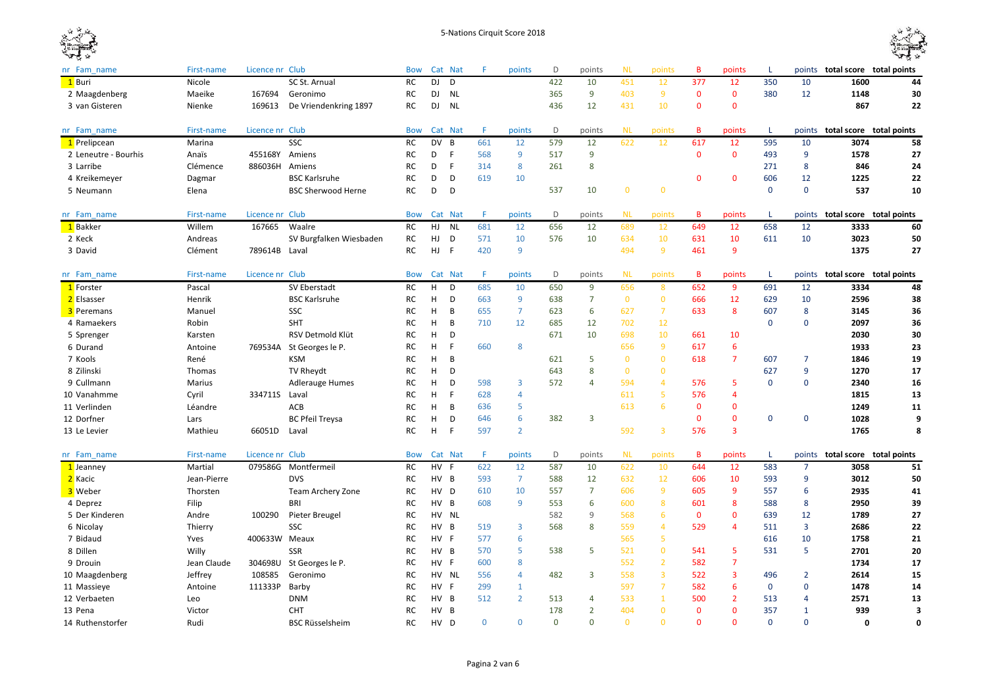

| nr Fam name          | First-name  | Licence nr Club |                           | Bow        |           | Cat Nat        | F.       | points         | D        | points         | <b>NL</b>    | points         | B            | points         | L            | points         | total score total points        |                          |
|----------------------|-------------|-----------------|---------------------------|------------|-----------|----------------|----------|----------------|----------|----------------|--------------|----------------|--------------|----------------|--------------|----------------|---------------------------------|--------------------------|
| 1 Buri               | Nicole      |                 | SC St. Arnual             | RC         | <b>DJ</b> | D              |          |                | 422      | 10             | 451          | 12             | 377          | 12             | 350          | 10             | 1600                            | 44                       |
| 2 Maagdenberg        | Maeike      | 167694          | Geronimo                  | <b>RC</b>  | DJ        | <b>NL</b>      |          |                | 365      | 9              | 403          | 9              | $\mathbf{0}$ | $\mathbf{0}$   | 380          | 12             | 1148                            | 30                       |
| 3 van Gisteren       | Nienke      | 169613          | De Vriendenkring 1897     | RC         | DJ        | <b>NL</b>      |          |                | 436      | 12             | 431          | 10             | $\mathbf{0}$ | $\mathbf{0}$   |              |                | 867                             | 22                       |
|                      |             |                 |                           |            |           |                |          |                |          |                |              |                |              |                |              |                |                                 |                          |
| nr Fam name          | First-name  | Licence nr Club |                           | <b>Bow</b> |           | Cat Nat        |          | points         | D        | points         | <b>NL</b>    | points         | B            | points         | L            | points         |                                 | total score total points |
| 1 Prelipcean         | Marina      |                 | SSC                       | <b>RC</b>  | <b>DV</b> | $\overline{B}$ | 661      | 12             | 579      | 12             | 622          | 12             | 617          | 12             | 595          | 10             | 3074                            | 58                       |
| 2 Leneutre - Bourhis | Anaïs       | 455168Y         | Amiens                    | RC         | D         | F              | 568      | 9              | 517      | 9              |              |                | $\mathbf 0$  | $\mathbf 0$    | 493          | 9              | 1578                            | 27                       |
| 3 Larribe            | Clémence    | 886036H Amiens  |                           | <b>RC</b>  | D         | $\mathsf{F}$   | 314      | 8              | 261      | 8              |              |                |              |                | 271          | 8              | 846                             | 24                       |
| 4 Kreikemeyer        | Dagmar      |                 | <b>BSC Karlsruhe</b>      | RC         | D         | D              | 619      | 10             |          |                |              |                | $\mathbf{0}$ | $\mathbf 0$    | 606          | 12             | 1225                            | 22                       |
| 5 Neumann            | Elena       |                 | <b>BSC Sherwood Herne</b> | RC         | D         | D              |          |                | 537      | 10             | $\bf{0}$     | $\mathbf 0$    |              |                | $\mathbf{0}$ | $\mathbf 0$    | 537                             | 10                       |
| nr Fam name          | First-name  | Licence nr Club |                           | <b>Bow</b> |           | Cat Nat        | F        | points         | D        | points         | <b>NL</b>    | points         | B            | points         | L            | points         |                                 | total score total points |
| 1 Bakker             | Willem      | 167665          | Waalre                    | RC         | HJ        | <b>NL</b>      | 681      | 12             | 656      | 12             | 689          | 12             | 649          | 12             | 658          | 12             | 3333                            | 60                       |
| 2 Keck               | Andreas     |                 | SV Burgfalken Wiesbaden   | <b>RC</b>  | HJ        | D              | 571      | 10             | 576      | 10             | 634          | 10             | 631          | 10             | 611          | 10             | 3023                            | 50                       |
| 3 David              | Clément     | 789614B Laval   |                           | RC         | HJ        | $\vdash$       | 420      | 9              |          |                | 494          | 9              | 461          | 9              |              |                | 1375                            | 27                       |
|                      |             |                 |                           |            |           |                |          |                |          |                |              |                |              |                |              |                |                                 |                          |
| nr Fam name          | First-name  | Licence nr Club |                           | <b>Bow</b> |           | Cat Nat        | F        | points         | D        | points         | <b>NL</b>    | points         | B            | points         | L            | points         |                                 | total score total points |
| 1 Forster            | Pascal      |                 | SV Eberstadt              | RC         | H         | D              | 685      | 10             | 650      | 9              | 656          | 8              | 652          | 9              | 691          | 12             | 3334                            | 48                       |
| 2 Elsasser           | Henrik      |                 | <b>BSC Karlsruhe</b>      | RC         | н         | D              | 663      | 9              | 638      | $\overline{7}$ | $\mathbf{0}$ | $\mathbf{0}$   | 666          | 12             | 629          | 10             | 2596                            | 38                       |
| <b>3</b> Peremans    | Manuel      |                 | SSC                       | <b>RC</b>  | H         | B              | 655      | $\overline{7}$ | 623      | 6              | 627          | $\overline{7}$ | 633          | 8              | 607          | 8              | 3145                            | 36                       |
| 4 Ramaekers          | Robin       |                 | <b>SHT</b>                | <b>RC</b>  | н         | B              | 710      | 12             | 685      | 12             | 702          | 12             |              |                | $\mathbf 0$  | $\mathbf 0$    | 2097                            | 36                       |
| 5 Sprenger           | Karsten     |                 | RSV Detmold Klüt          | <b>RC</b>  | н         | D              |          |                | 671      | 10             | 698          | 10             | 661          | 10             |              |                | 2030                            | 30                       |
| 6 Durand             | Antoine     |                 | 769534A St Georges le P.  | RC         | н         | F              | 660      | 8              |          |                | 656          | -9             | 617          | 6              |              |                | 1933                            | 23                       |
| 7 Kools              | René        |                 | <b>KSM</b>                | RC         | н         | B              |          |                | 621      | 5              | $\bf{0}$     | $\mathbf 0$    | 618          | 7              | 607          | 7              | 1846                            | 19                       |
| 8 Zilinski           | Thomas      |                 | TV Rheydt                 | RC         | н         | D              |          |                | 643      | 8              | $\bf{0}$     | $\mathbf 0$    |              |                | 627          | 9              | 1270                            | 17                       |
| 9 Cullmann           | Marius      |                 | <b>Adlerauge Humes</b>    | RC         | н         | D              | 598      | 3              | 572      | 4              | 594          | $\overline{4}$ | 576          | 5              | $\mathbf{0}$ | $\mathbf 0$    | 2340                            | 16                       |
| 10 Vanahmme          | Cyril       | 334711S         | Laval                     | <b>RC</b>  | H         | F              | 628      | $\overline{4}$ |          |                | 611          | 5              | 576          | 4              |              |                | 1815                            | 13                       |
| 11 Verlinden         | Léandre     |                 | ACB                       | <b>RC</b>  | н         | B              | 636      | 5              |          |                | 613          | 6              | $\mathbf{0}$ | $\mathbf 0$    |              |                | 1249                            | 11                       |
| 12 Dorfner           | Lars        |                 | <b>BC Pfeil Treysa</b>    | <b>RC</b>  | н         | D              | 646      | 6              | 382      | 3              |              |                | $\mathbf{0}$ | $\mathbf 0$    | $\mathbf 0$  | $\mathbf 0$    | 1028                            | 9                        |
| 13 Le Levier         | Mathieu     | 66051D          | Laval                     | RC         | H         | F              | 597      | $\overline{2}$ |          |                | 592          | $\overline{3}$ | 576          | $\overline{3}$ |              |                | 1765                            | 8                        |
| nr Fam name          | First-name  | Licence nr Club |                           | <b>Bow</b> |           | Cat Nat        | F        | points         | D        | points         | <b>NL</b>    | points         | В            | points         | L.           |                | points total score total points |                          |
| 1 Jeanney            | Martial     | 079586G         | Montfermeil               | <b>RC</b>  | HV F      |                | 622      | 12             | 587      | 10             | 622          | 10             | 644          | 12             | 583          | $\overline{7}$ | 3058                            | 51                       |
| 2 Kacic              | Jean-Pierre |                 | <b>DVS</b>                | RC         | HV B      |                | 593      | $\overline{7}$ | 588      | 12             | 632          | 12             | 606          | 10             | 593          | 9              | 3012                            | 50                       |
| 3 Weber              | Thorsten    |                 | <b>Team Archery Zone</b>  | RC         | HV D      |                | 610      | 10             | 557      | $\overline{7}$ | 606          | 9              | 605          | 9              | 557          | 6              | 2935                            | 41                       |
| 4 Deprez             | Filip       |                 | <b>BRI</b>                | RC         | HV B      |                | 608      | 9              | 553      | 6              | 600          | 8              | 601          | 8              | 588          | 8              | 2950                            | 39                       |
| 5 Der Kinderen       | Andre       | 100290          | Pieter Breugel            | <b>RC</b>  |           | HV NL          |          |                | 582      | 9              | 568          | 6              | $\Omega$     | $\mathbf 0$    | 639          | 12             | 1789                            | 27                       |
| 6 Nicolay            | Thierry     |                 | SSC                       | <b>RC</b>  | HV B      |                | 519      | $\overline{3}$ | 568      | 8              | 559          | $\overline{4}$ | 529          | $\overline{4}$ | 511          | $\overline{3}$ | 2686                            | 22                       |
| 7 Bidaud             | Yves        | 400633W Meaux   |                           | RC         | HV F      |                | 577      | 6              |          |                | 565          | 5              |              |                | 616          | 10             | 1758                            | 21                       |
| 8 Dillen             | Willy       |                 | <b>SSR</b>                | RC         | HV B      |                | 570      | 5              | 538      | 5              | 521          | $\mathbf 0$    | 541          | 5              | 531          | 5              | 2701                            | 20                       |
| 9 Drouin             | Jean Claude | 304698U         | St Georges le P.          | RC         | HV F      |                | 600      | 8              |          |                | 552          | $\overline{2}$ | 582          | $\overline{7}$ |              |                | 1734                            | 17                       |
| 10 Maagdenberg       | Jeffrey     | 108585          | Geronimo                  | RC         | HV        | NL             | 556      | $\overline{4}$ | 482      | 3              | 558          | $\overline{3}$ | 522          | 3              | 496          | $\overline{2}$ | 2614                            | 15                       |
| 11 Massieye          | Antoine     | 111333P         | Barby                     | RC         | HV        | - F            | 299      | $\mathbf{1}$   |          |                | 597          | $\overline{7}$ | 582          | 6              | $\mathbf 0$  | $\mathbf 0$    | 1478                            | 14                       |
| 12 Verbaeten         | Leo         |                 | <b>DNM</b>                | RC         | HV B      |                | 512      | $\overline{2}$ | 513      | 4              | 533          | $\mathbf{1}$   | 500          | $\overline{2}$ | 513          | 4              | 2571                            | 13                       |
| 13 Pena              | Victor      |                 | <b>CHT</b>                | <b>RC</b>  | HV B      |                |          |                | 178      | $\overline{2}$ | 404          | $\mathbf 0$    | $\mathbf{0}$ | $\mathbf{0}$   | 357          | 1              | 939                             | 3                        |
| 14 Ruthenstorfer     | Rudi        |                 | <b>BSC Rüsselsheim</b>    | <b>RC</b>  | <b>HV</b> | D              | $\Omega$ | $\mathbf{0}$   | $\Omega$ | $\Omega$       | $\Omega$     | $\mathbf{0}$   | $\Omega$     | $\Omega$       | $\Omega$     | $\Omega$       | 0                               | $\mathbf{0}$             |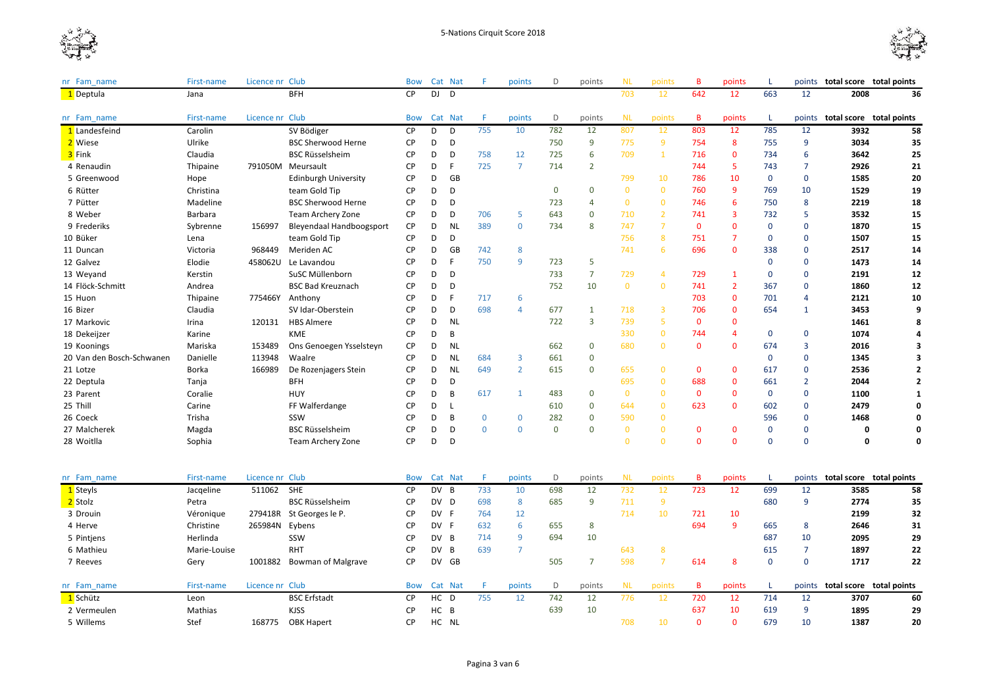



| nr Fam name               | First-name   | Licence nr Club |                                 | <b>Bow</b> |           | Cat Nat      | F           | points         | D           | points         | <b>NL</b>    | points           | B            | points         | -L           | points         | total score total points |                         |
|---------------------------|--------------|-----------------|---------------------------------|------------|-----------|--------------|-------------|----------------|-------------|----------------|--------------|------------------|--------------|----------------|--------------|----------------|--------------------------|-------------------------|
| 1 Deptula                 | Jana         |                 | <b>BFH</b>                      | <b>CP</b>  | D.I       | D            |             |                |             |                | 703          | 12               | 642          | 12             | 663          | 12             | 2008                     | 36                      |
| nr Fam name               | First-name   | Licence nr Club |                                 | <b>Bow</b> |           | Cat Nat      |             | points         | D           | points         | <b>NL</b>    | points           | B            | points         | L.           | points         | total score total points |                         |
| 1 Landesfeind             | Carolin      |                 | SV Bödiger                      | <b>CP</b>  | D         | D            | 755         | 10             | 782         | 12             | 807          | 12               | 803          | 12             | 785          | 12             | 3932                     | 58                      |
| 2 Wiese                   | Ulrike       |                 | <b>BSC Sherwood Herne</b>       | <b>CP</b>  | D         | D            |             |                | 750         | 9              | 775          | 9                | 754          | 8              | 755          | 9              | 3034                     | 35                      |
| 3 Fink                    | Claudia      |                 | <b>BSC Rüsselsheim</b>          | <b>CP</b>  | D         | D            | 758         | 12             | 725         | 6              | 709          | $\mathbf{1}$     | 716          | $\mathbf{0}$   | 734          | 6              | 3642                     | 25                      |
| 4 Renaudin                | Thipaine     |                 | 791050M Meursault               | <b>CP</b>  | D         | F            | 725         | $\overline{7}$ | 714         | $\overline{2}$ |              |                  | 744          | 5              | 743          | $\overline{7}$ | 2926                     | 21                      |
| 5 Greenwood               | Hope         |                 | <b>Edinburgh University</b>     | <b>CP</b>  | D         | GB           |             |                |             |                | 799          | 10               | 786          | 10             | $\mathbf 0$  | $\mathbf 0$    | 1585                     | 20                      |
| 6 Rütter                  | Christina    |                 | team Gold Tip                   | <b>CP</b>  | D         | D            |             |                | 0           | 0              | $\bf{0}$     | $\bf{0}$         | 760          | 9              | 769          | 10             | 1529                     | 19                      |
| 7 Pütter                  | Madeline     |                 | <b>BSC Sherwood Herne</b>       | <b>CP</b>  | D         | D            |             |                | 723         | $\overline{4}$ | $\bf{0}$     | $\mathbf{0}$     | 746          | 6              | 750          | 8              | 2219                     | 18                      |
| 8 Weber                   | Barbara      |                 | <b>Team Archery Zone</b>        | <b>CP</b>  | D         | D            | 706         | 5              | 643         | $\mathbf 0$    | 710          | $\overline{2}$   | 741          | 3              | 732          | 5              | 3532                     | 15                      |
| 9 Frederiks               | Sybrenne     | 156997          | <b>Bleyendaal Handboogsport</b> | <b>CP</b>  | D         | <b>NL</b>    | 389         | $\mathbf 0$    | 734         | 8              | 747          | $\overline{7}$   | $\mathbf 0$  | $\mathbf 0$    | $\mathbf 0$  | 0              | 1870                     | 15                      |
| 10 Büker                  | Lena         |                 | team Gold Tip                   | CP         | D         | D            |             |                |             |                | 756          | 8                | 751          | $\overline{7}$ | $\mathbf{0}$ | $\mathbf 0$    | 1507                     | 15                      |
| 11 Duncan                 | Victoria     | 968449          | Meriden AC                      | <b>CP</b>  | D         | GB           | 742         | 8              |             |                | 741          | 6                | 696          | $\mathbf{0}$   | 338          | 0              | 2517                     | 14                      |
| 12 Galvez                 | Elodie       | 458062U         | Le Lavandou                     | <b>CP</b>  | D         | F            | 750         | 9              | 723         | 5              |              |                  |              |                | $\mathbf 0$  | 0              | 1473                     | 14                      |
| 13 Weyand                 | Kerstin      |                 | SuSC Müllenborn                 | <b>CP</b>  | D         | D            |             |                | 733         | $\overline{7}$ | 729          | $\overline{4}$   | 729          | $\mathbf{1}$   | $\mathbf{0}$ | 0              | 2191                     | 12                      |
| 14 Flöck-Schmitt          | Andrea       |                 | <b>BSC Bad Kreuznach</b>        | <b>CP</b>  | D         | D            |             |                | 752         | 10             | $\bf{0}$     | $\mathbf{0}$     | 741          | $\overline{2}$ | 367          | 0              | 1860                     | 12                      |
| 15 Huon                   | Thipaine     |                 | 775466Y Anthony                 | <b>CP</b>  | D         |              | 717         | 6              |             |                |              |                  | 703          | $\mathbf 0$    | 701          | 4              | 2121                     | 10                      |
| 16 Bizer                  | Claudia      |                 | SV Idar-Oberstein               | <b>CP</b>  | D         | D            | 698         | 4              | 677         | 1              | 718          | 3                | 706          | $\mathbf 0$    | 654          | $\mathbf{1}$   | 3453                     | 9                       |
| 17 Markovic               | Irina        | 120131          | <b>HBS Almere</b>               | <b>CP</b>  | D         | <b>NL</b>    |             |                | 722         | 3              | 739          | 5                | $\mathbf 0$  | $\mathbf{0}$   |              |                | 1461                     | 8                       |
| 18 Dekeijzer              | Karine       |                 | KME                             | <b>CP</b>  | D         | B            |             |                |             |                | 330          | $\mathbf{0}$     | 744          | $\overline{4}$ | $\mathbf 0$  | 0              | 1074                     | 4                       |
| 19 Koonings               | Mariska      | 153489          | Ons Genoegen Ysselsteyn         | <b>CP</b>  | D         | <b>NL</b>    |             |                | 662         | $\mathbf 0$    | 680          | $\mathbf{0}$     | $\mathbf{0}$ | $\mathbf{0}$   | 674          | 3              | 2016                     | 3                       |
| 20 Van den Bosch-Schwanen | Danielle     | 113948          | Waalre                          | <b>CP</b>  | D         | <b>NL</b>    | 684         | 3              | 661         | $\mathbf 0$    |              |                  |              |                | $\mathbf 0$  | 0              | 1345                     | 3                       |
| 21 Lotze                  | Borka        | 166989          | De Rozenjagers Stein            | CP         | D         | <b>NL</b>    | 649         | $\overline{2}$ | 615         | $\mathbf 0$    | 655          | $\mathbf{0}$     | $\mathbf{0}$ | $\mathbf{0}$   | 617          | 0              | 2536                     | $\overline{\mathbf{z}}$ |
| 22 Deptula                | Tanja        |                 | <b>BFH</b>                      | <b>CP</b>  | D         | D            |             |                |             |                | 695          | $\mathbf{0}$     | 688          | $\mathbf 0$    | 661          | $\overline{2}$ | 2044                     | $\overline{2}$          |
| 23 Parent                 | Coralie      |                 | <b>HUY</b>                      | CP         | D         | B            | 617         | $\mathbf{1}$   | 483         | $\Omega$       | $\mathbf{0}$ | $\mathbf{0}$     | $\mathbf{0}$ | $\mathbf{0}$   | $\mathbf 0$  | $\mathbf 0$    | 1100                     | 1                       |
| 25 Thill                  | Carine       |                 | FF Walferdange                  | <b>CP</b>  | D         | $\mathbf{I}$ |             |                | 610         | $\Omega$       | 644          | $\bf{0}$         | 623          | $\mathbf{0}$   | 602          | 0              | 2479                     | $\Omega$                |
| 26 Coeck                  | Trisha       |                 | SSW                             | <b>CP</b>  | D         | B            | $\mathbf 0$ | 0              | 282         | $\mathbf 0$    | 590          | $\mathbf{0}$     |              |                | 596          | 0              | 1468                     | 0                       |
| 27 Malcherek              | Magda        |                 | <b>BSC Rüsselsheim</b>          | <b>CP</b>  | D         | D            | $\mathbf 0$ | $\Omega$       | $\mathbf 0$ | $\Omega$       | $\mathbf{0}$ | $\mathbf 0$      | $\mathbf{0}$ | $\mathbf{0}$   | $\mathbf 0$  | 0              | $\mathbf 0$              | $\mathbf 0$             |
| 28 Woitlla                | Sophia       |                 | Team Archery Zone               | <b>CP</b>  | D         | D            |             |                |             |                | $\Omega$     | $\mathbf{0}$     | $\Omega$     | $\Omega$       | $\mathbf 0$  | $\mathbf 0$    | $\mathbf{0}$             | $\Omega$                |
|                           |              |                 |                                 |            |           |              |             |                |             |                |              |                  |              |                |              |                |                          |                         |
| nr Fam_name               | First-name   | Licence nr Club |                                 | <b>Bow</b> |           | Cat Nat      | F           | points         | D           | points         | <b>NL</b>    | points           | В            | points         |              | points         | total score total points |                         |
| 1 Steyls                  | Jacqeline    | 511062          | SHE                             | <b>CP</b>  | DV B      |              | 733         | 10             | 698         | 12             | 732          | 12               | 723          | 12             | 699          | 12             | 3585                     | 58                      |
| 2 Stolz                   | Petra        |                 | <b>BSC Rüsselsheim</b>          | <b>CP</b>  | DV D      |              | 698         | 8              | 685         | 9              | 711          | 9                |              |                | 680          | 9              | 2774                     | 35                      |
| 3 Drouin                  | Véronique    |                 | 279418R St Georges le P.        | <b>CP</b>  | DV F      |              | 764         | 12             |             |                | 714          | 10               | 721          | 10             |              |                | 2199                     | 32                      |
| 4 Herve                   | Christine    | 265984N         | Eybens                          | <b>CP</b>  | DV F      |              | 632         | 6              | 655         | 8              |              |                  | 694          | 9              | 665          | 8              | 2646                     | 31                      |
| 5 Pintjens                | Herlinda     |                 | SSW                             | <b>CP</b>  | DV        | B            | 714         | 9              | 694         | 10             |              |                  |              |                | 687          | 10             | 2095                     | 29                      |
| 6 Mathieu                 | Marie-Louise |                 | <b>RHT</b>                      | CP         | <b>DV</b> | B            | 639         | $\overline{7}$ |             |                | 643          | $\boldsymbol{8}$ |              |                | 615          | $\overline{7}$ | 1897                     | 22                      |
| 7 Reeves                  | Gery         | 1001882         | <b>Bowman of Malgrave</b>       | <b>CP</b>  | <b>DV</b> | GB           |             |                | 505         | 7              | 598          | $\overline{7}$   | 614          | 8              | $\mathbf{0}$ | $\mathbf 0$    | 1717                     | 22                      |
| nr Fam name               | First-name   | Licence nr Club |                                 | <b>Bow</b> |           | Cat Nat      | F           | points         | D           | points         | <b>NL</b>    | points           | B            | points         | L            | points         | total score total points |                         |
| 1 Schütz                  | Leon         |                 | <b>BSC Erfstadt</b>             | CP         | HC D      |              | 755         | 12             | 742         | 12             | 776          | 12               | 720          | 12             | 714          | 12             | 3707                     | 60                      |
| 2 Vermeulen               | Mathias      |                 | <b>KJSS</b>                     | CP         | HC B      |              |             |                | 639         | 10             |              |                  | 637          | 10             | 619          | 9              | 1895                     | 29                      |
| 5 Willems                 | Stef         | 168775          | <b>OBK Hapert</b>               | <b>CP</b>  |           | HC NL        |             |                |             |                | 708          | 10               | $\Omega$     | $\Omega$       | 679          | 10             | 1387                     | 20                      |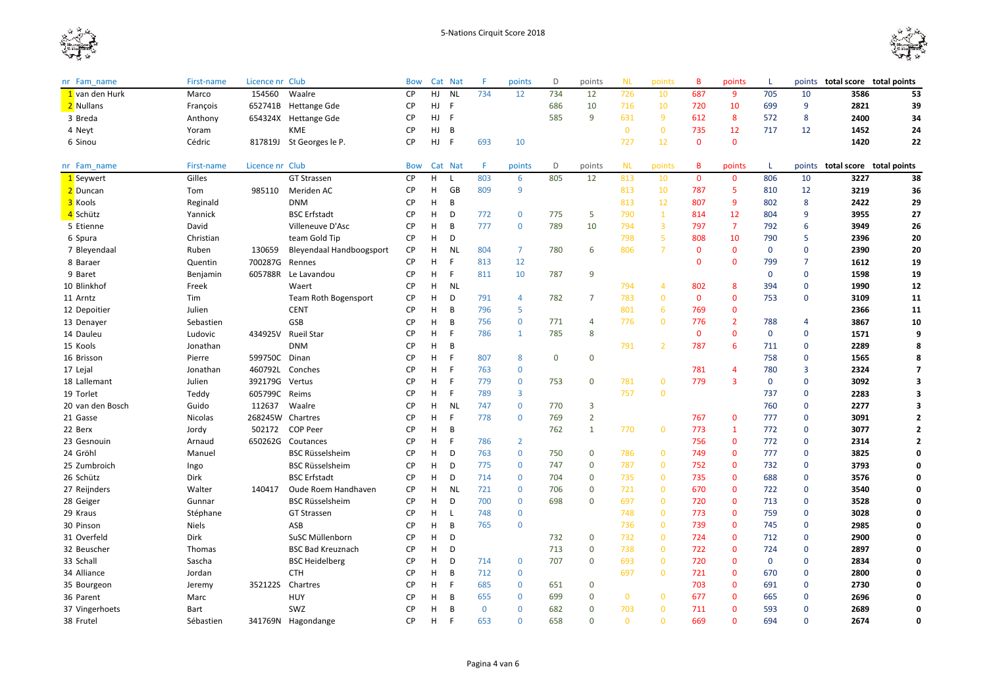



| Licence nr Club<br><b>Bow</b><br>Cat Nat<br>F<br>D<br>points<br>nr Fam name<br>First-name<br>points                       | <b>NL</b><br>points          | B            | points         |              | points         | total score total points               |
|---------------------------------------------------------------------------------------------------------------------------|------------------------------|--------------|----------------|--------------|----------------|----------------------------------------|
| Waalre<br>HJ<br><b>NL</b><br>154560<br><b>CP</b><br>734<br>734<br>12<br>1 van den Hurk<br>Marco<br>12                     | 726<br>10                    | 687          | 9              | 705          | 10             | 3586<br>53                             |
| <b>CP</b><br>HJ<br>- F<br>686<br>10<br>2 Nullans<br>François<br>652741B<br><b>Hettange Gde</b>                            | 10<br>716                    | 720          | 10             | 699          | 9              | 2821<br>39                             |
| 585<br><b>CP</b><br>HJ<br>F.<br>9<br>654324X Hettange Gde<br>3 Breda<br>Anthony                                           | 631<br>9                     | 612          | 8              | 572          | 8              | 2400<br>34                             |
| KME<br>4 Neyt<br><b>CP</b><br>HJ<br>B<br>Yoram                                                                            | $\mathbf{0}$<br>$\mathbf{0}$ | 735          | 12             | 717          | 12             | 1452<br>24                             |
| 817819J St Georges le P.<br><b>CP</b><br>HJ<br>$\mathsf{F}$<br>693<br>10<br>6 Sinou<br>Cédric                             | 727<br>12                    | $\mathbf{0}$ | $\mathbf 0$    |              |                | 1420<br>22                             |
|                                                                                                                           |                              |              |                |              |                |                                        |
| Licence nr Club<br>First-name<br>Cat Nat<br>F<br>points<br>D<br>points<br>nr Fam name<br><b>Bow</b>                       | <b>NL</b><br>points          | B            | points         | L            |                | points <b>total score total points</b> |
| Gilles<br>H<br>803<br>805<br>12<br><b>GT Strassen</b><br><b>CP</b><br>6<br>1 Seywert<br>L.                                | 813<br>10                    | $\mathbf{0}$ | $\mathbf{0}$   | 806          | 10             | 3227<br>38                             |
| 2 Duncan<br><b>CP</b><br>GB<br>809<br>9<br>Tom<br>985110<br>Meriden AC<br>H                                               | 813<br>10                    | 787          | 5              | 810          | 12             | 3219<br>36                             |
| 3 Kools<br>Reginald<br><b>DNM</b><br><b>CP</b><br>н<br>B                                                                  | 813<br>12                    | 807          | 9              | 802          | 8              | 2422<br>29                             |
| 5<br><b>CP</b><br>772<br>$\Omega$<br>775<br>4 Schütz<br>Yannick<br><b>BSC Erfstadt</b><br>H<br>D                          | 790<br>$\mathbf{1}$          | 814          | 12             | 804          | 9              | 3955<br>27                             |
| David<br>Villeneuve D'Asc<br><b>CP</b><br>н<br>B<br>777<br>789<br>10<br>5 Etienne<br>$\mathbf 0$                          | 794<br>$\overline{3}$        | 797          | $\overline{7}$ | 792          | 6              | 3949<br>26                             |
| team Gold Tip<br><b>CP</b><br>H<br>D<br>6 Spura<br>Christian                                                              | 5<br>798                     | 808          | 10             | 790          | 5              | 2396<br>20                             |
| <b>CP</b><br>7 Bleyendaal<br>Ruben<br>130659<br>Bleyendaal Handboogsport<br>н<br>NL<br>804<br>$\overline{7}$<br>780<br>6  | $\overline{7}$<br>806        | $\mathbf{0}$ | $\mathbf{0}$   | $\mathbf{0}$ | $\mathbf 0$    | 2390<br>20                             |
| <b>CP</b><br>H<br>F<br>12<br>700287G<br>813<br>8 Baraer<br>Quentin<br>Rennes                                              |                              | $\mathbf{0}$ | $\mathbf 0$    | 799          | $\overline{7}$ | 1612<br>19                             |
| 9 Baret<br>605788R<br>Le Lavandou<br><b>CP</b><br>H<br>F<br>811<br>10<br>787<br>9<br>Benjamin                             |                              |              |                | $\mathbf{0}$ | $\mathbf 0$    | 1598<br>19                             |
| Waert<br>CP<br>H<br><b>NL</b><br>10 Blinkhof<br>Freek                                                                     | 794<br>$\overline{4}$        | 802          | 8              | 394          | $\mathbf 0$    | 1990<br>12                             |
| D<br>$\overline{7}$<br>11 Arntz<br>Tim<br><b>Team Roth Bogensport</b><br><b>CP</b><br>н<br>791<br>782<br>4                | 783<br>$\mathbf{0}$          | $\mathbf 0$  | $\mathbf 0$    | 753          | $\mathbf 0$    | 3109<br>11                             |
| <b>CENT</b><br>5<br><b>CP</b><br>H<br>B<br>796<br>12 Depoitier<br>Julien                                                  | 801<br>6                     | 769          | $\mathbf 0$    |              |                | 2366<br>11                             |
| GSB<br><b>CP</b><br>756<br>$\mathbf 0$<br>771<br>4<br>13 Denayer<br>Sebastien<br>H<br>B                                   | 776<br>$\mathbf{0}$          | 776          | $\overline{2}$ | 788          | $\overline{4}$ | 10<br>3867                             |
| 8<br>434925V<br><b>CP</b><br>H<br>E<br>785<br>14 Dauleu<br>Ludovic<br>Rueil Star<br>786<br>1                              |                              | $\mathbf 0$  | $\mathbf 0$    | $\mathbf 0$  | $\mathbf 0$    | 1571<br>q                              |
| <b>DNM</b><br><b>CP</b><br>н<br>B<br>15 Kools<br>Jonathan                                                                 | 791<br>$\overline{2}$        | 787          | 6              | 711          | $\mathbf 0$    | 2289<br>8                              |
| 599750C Dinan<br>CP<br>E<br>0<br>16 Brisson<br>H<br>807<br>8<br>$\mathbf 0$<br>Pierre                                     |                              |              |                | 758          | $\mathbf 0$    | 1565<br>8                              |
| <b>CP</b><br>460792L<br>H<br>-F<br>763<br>$\mathbf 0$<br>17 Lejal<br>Jonathan<br>Conches                                  |                              | 781          | 4              | 780          | 3              | 2324<br>7                              |
| 392179G<br>18 Lallemant<br><b>CP</b><br>H<br>E<br>779<br>0<br>Julien<br>Vertus<br>0<br>753                                | 781<br>$\bf{0}$              | 779          | $\overline{3}$ | $\mathbf 0$  | $\mathbf 0$    | 3092<br>3                              |
| 19 Torlet<br>Teddy<br>605799C<br><b>CP</b><br>H<br>-F<br>789<br>3<br>Reims                                                | $\mathbf{0}$<br>757          |              |                | 737          | $\mathbf 0$    | 2283<br>$\overline{\mathbf{3}}$        |
| 112637<br><b>CP</b><br><b>NL</b><br>3<br>20 van den Bosch<br>Guido<br>Waalre<br>H<br>747<br>$\mathbf 0$<br>770            |                              |              |                | 760          | $\mathbf 0$    | 2277<br>3                              |
| $\overline{2}$<br>268245W Chartres<br><b>CP</b><br>F<br>21 Gasse<br>Nicolas<br>н<br>778<br>$\mathbf 0$<br>769             |                              | 767          | $\mathbf 0$    | 777          | $\mathbf 0$    | 3091<br>$\overline{\mathbf{2}}$        |
| 502172<br><b>CP</b><br>H<br>B<br>762<br>$\mathbf{1}$<br>COP Peer<br>22 Berx<br>Jordy                                      | 770<br>$\mathbf{0}$          | 773          | $\mathbf{1}$   | 772          | $\mathbf 0$    | 3077<br>$\overline{2}$                 |
| 23 Gesnouin<br>650262G<br>Coutances<br><b>CP</b><br>н<br>F<br>786<br>$\overline{2}$<br>Arnaud                             |                              | 756          | $\mathbf{0}$   | 772          | $\mathbf 0$    | $\overline{2}$<br>2314                 |
| 24 Gröhl<br><b>BSC Rüsselsheim</b><br><b>CP</b><br>н<br>D<br>763<br>$\mathbf 0$<br>750<br>0<br>Manuel                     | 786<br>$\mathbf{0}$          | 749          | $\mathbf 0$    | 777          | $\mathbf 0$    | 3825<br>0                              |
| 25 Zumbroich<br><b>BSC Rüsselsheim</b><br><b>CP</b><br>D<br>$\Omega$<br>0<br>H<br>775<br>747<br>Ingo                      | 787<br>$\mathbf{0}$          | 752          | $\mathbf 0$    | 732          | $\mathbf 0$    | 3793<br>$\Omega$                       |
| <b>BSC Erfstadt</b><br>0<br>26 Schütz<br><b>CP</b><br>H<br>D<br>714<br>$\mathbf 0$<br>704<br>Dirk                         | 735<br>$\mathbf{0}$          | 735          | $\mathbf{0}$   | 688          | $\mathbf 0$    | 3576<br>$\Omega$                       |
| н<br><b>NL</b><br>721<br>0<br>Oude Roem Handhaven<br><b>CP</b><br>$\mathbf{0}$<br>706<br>27 Reijnders<br>Walter<br>140417 | 721<br>$\bf{0}$              | 670          | $\mathbf 0$    | 722          | $\mathbf 0$    | 3540<br>0                              |
| 28 Geiger<br><b>BSC Rüsselsheim</b><br><b>CP</b><br>Н<br>D<br>700<br>$\mathbf{0}$<br>698<br>0<br>Gunnar                   | 697<br>$\mathbf{0}$          | 720          | $\mathbf{0}$   | 713          | $\mathbf 0$    | 3528<br>$\Omega$                       |
| 29 Kraus<br><b>GT Strassen</b><br><b>CP</b><br>H<br>$\Omega$<br>Stéphane<br>748<br>-L                                     | $\mathbf 0$<br>748           | 773          | $\mathbf 0$    | 759          | $\mathbf 0$    | 3028                                   |
| ASB<br><b>CP</b><br>B<br>$\mathbf 0$<br>30 Pinson<br><b>Niels</b><br>Н<br>765                                             | 736<br>$\mathbf{0}$          | 739          | $\mathbf 0$    | 745          | $\mathbf 0$    | 2985<br>n                              |
| SuSC Müllenborn<br>H<br>732<br>31 Overfeld<br>Dirk<br><b>CP</b><br>D<br>0                                                 | 732<br>$\mathbf{0}$          | 724          | $\mathbf 0$    | 712          | $\mathbf 0$    | 2900<br>$\Omega$                       |
| 713<br>0<br>32 Beuscher<br><b>BSC Bad Kreuznach</b><br>CP<br>н<br>D<br>Thomas                                             | $\mathbf{0}$<br>738          | 722          | $\mathbf 0$    | 724          | $\mathbf 0$    | 2897<br>$\Omega$                       |
| 33 Schall<br><b>BSC Heidelberg</b><br><b>CP</b><br>$\mathbf 0$<br>0<br>Sascha<br>H<br>D<br>714<br>707                     | 693<br>$\bf{0}$              | 720          | $\mathbf 0$    | $\mathbf{0}$ | $\mathbf 0$    | 2834<br>$\Omega$                       |
| 34 Alliance<br><b>CTH</b><br><b>CP</b><br>Н<br>B<br>712<br>$\mathbf 0$<br>Jordan                                          | 697<br>$\mathbf{0}$          | 721          | $\mathbf 0$    | 670          | $\mathbf 0$    | 2800<br>0                              |
| <b>CP</b><br>H.<br>F<br>685<br>$\mathbf 0$<br>0<br>352122S<br>Chartres<br>651<br>35 Bourgeon<br>Jeremy                    |                              | 703          | $\mathbf{0}$   | 691          | $\mathbf{0}$   | 2730<br>$\Omega$                       |
| 0<br><b>HUY</b><br>655<br>$\mathbf 0$<br>699<br>36 Parent<br>CP<br>н<br>B<br>Marc                                         | $\mathbf{0}$<br>$\bf{0}$     | 677          | $\mathbf{0}$   | 665          | $\mathbf 0$    | 2696<br>$\Omega$                       |
| SWZ<br>B<br><b>CP</b><br>H<br>$\mathbf 0$<br>$\Omega$<br>682<br>0<br>37 Vingerhoets<br>Bart                               | 703<br>$\mathbf{0}$          | 711          | $\mathbf{0}$   | 593          | $\Omega$       | 2689<br>$\mathbf 0$                    |
| F<br>653<br>0<br>38 Frutel<br>Sébastien<br>341769N Hagondange<br><b>CP</b><br>H<br>$\Omega$<br>658                        | $\mathbf{0}$<br>$\mathbf{0}$ | 669          | $\Omega$       | 694          | $\Omega$       | 2674<br>$\mathbf 0$                    |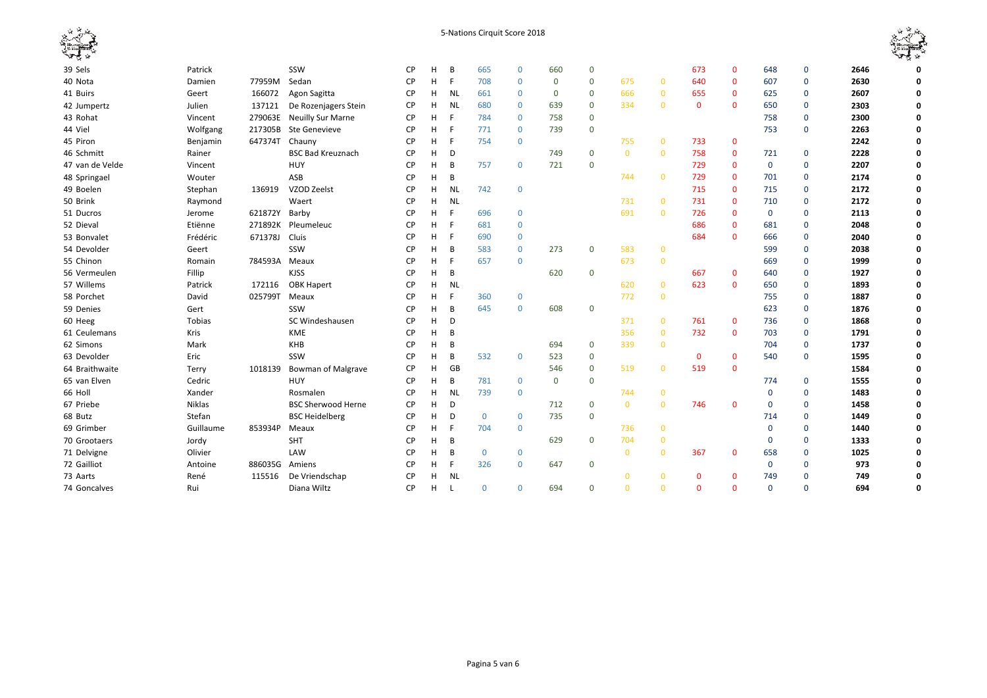|                 |           |               |                           |           |   |           | 5-Nations Cirquit Score 2018 |              |             |                |                |                |              |              |             |             |      |              |
|-----------------|-----------|---------------|---------------------------|-----------|---|-----------|------------------------------|--------------|-------------|----------------|----------------|----------------|--------------|--------------|-------------|-------------|------|--------------|
| 39 Sels         | Patrick   |               | SSW                       | <b>CP</b> | H | B         | 665                          | $\mathbf 0$  | 660         | $\mathbf 0$    |                |                | 673          | $\mathbf{0}$ | 648         | $\Omega$    | 2646 | 0            |
| 40 Nota         | Damien    | 77959M        | Sedan                     | <b>CP</b> | H | F         | 708                          | $\mathbf 0$  | $\mathbf 0$ | $\mathbf 0$    | 675            | $\mathbf{0}$   | 640          | $\mathbf{0}$ | 607         | $\Omega$    | 2630 | 0            |
| 41 Buirs        | Geert     | 166072        | Agon Sagitta              | <b>CP</b> | н | <b>NL</b> | 661                          | $\mathbf 0$  | $\mathbf 0$ | $\mathbf 0$    | 666            | $\mathbf 0$    | 655          | $\mathbf{0}$ | 625         | $\Omega$    | 2607 | 0            |
| 42 Jumpertz     | Julien    | 137121        | De Rozenjagers Stein      | <b>CP</b> | н | <b>NL</b> | 680                          | $\mathbf 0$  | 639         | $\mathbf 0$    | 334            | $\Omega$       | $\mathbf{0}$ | $\mathbf{0}$ | 650         | $\Omega$    | 2303 | 0            |
| 43 Rohat        | Vincent   | 279063E       | Neuilly Sur Marne         | <b>CP</b> | H |           | 784                          | $\mathbf{0}$ | 758         | $\mathbf 0$    |                |                |              |              | 758         | $\Omega$    | 2300 | 0            |
| 44 Viel         | Wolfgang  | 217305B       | Ste Genevieve             | <b>CP</b> | н |           | 771                          | $\mathbf{0}$ | 739         | $\overline{0}$ |                |                |              |              | 753         | $\mathbf 0$ | 2263 | 0            |
| 45 Piron        | Benjamin  | 647374T       | Chauny                    | <b>CP</b> | н |           | 754                          | $\mathbf 0$  |             |                | 755            | $\mathbf{0}$   | 733          | $\mathbf{0}$ |             |             | 2242 | $\mathbf 0$  |
| 46 Schmitt      | Rainer    |               | <b>BSC Bad Kreuznach</b>  | <b>CP</b> | н | D         |                              |              | 749         | $\mathbf 0$    | $\mathbf{0}$   | $\mathbf{0}$   | 758          | $\mathbf{0}$ | 721         | $\mathbf 0$ | 2228 | 0            |
| 47 van de Velde | Vincent   |               | <b>HUY</b>                | <b>CP</b> | Н | B         | 757                          | $\mathbf 0$  | 721         | $\overline{0}$ |                |                | 729          | $\mathbf{0}$ | $\mathbf 0$ | $\Omega$    | 2207 | 0            |
| 48 Springael    | Wouter    |               | ASB                       | <b>CP</b> | H | B         |                              |              |             |                | 744            | $\overline{0}$ | 729          | $\mathbf{0}$ | 701         | $\Omega$    | 2174 | 0            |
| 49 Boelen       | Stephan   | 136919        | VZOD Zeelst               | <b>CP</b> | н | <b>NL</b> | 742                          | $\mathbf 0$  |             |                |                |                | 715          | $\mathbf{0}$ | 715         | $\mathbf 0$ | 2172 | $\mathbf 0$  |
| 50 Brink        | Raymond   |               | Waert                     | CP        | н | <b>NL</b> |                              |              |             |                | 731            | $\overline{0}$ | 731          | $\mathbf{0}$ | 710         | $\mathbf 0$ | 2172 | 0            |
| 51 Ducros       | Jerome    | 621872Y       | Barby                     | <b>CP</b> | н | F         | 696                          | $\mathbf 0$  |             |                | 691            | $\overline{0}$ | 726          | $\mathbf{0}$ | $\mathbf 0$ | $\mathbf 0$ | 2113 | 0            |
| 52 Dieval       | Etiënne   | 271892K       | Pleumeleuc                | <b>CP</b> | н |           | 681                          | $\mathbf 0$  |             |                |                |                | 686          | $\Omega$     | 681         | $\mathbf 0$ | 2048 | 0            |
| 53 Bonvalet     | Frédéric  | 671378J       | Cluis                     | <b>CP</b> | н |           | 690                          | $\mathbf 0$  |             |                |                |                | 684          | $\Omega$     | 666         | $\mathbf 0$ | 2040 | 0            |
| 54 Devolder     | Geert     |               | SSW                       | <b>CP</b> | н | B         | 583                          | $\mathbf 0$  | 273         | $\mathbf 0$    | 583            | $\mathbf{0}$   |              |              | 599         | $\mathbf 0$ | 2038 | $\mathbf 0$  |
| 55 Chinon       | Romain    | 784593A Meaux |                           | <b>CP</b> | н |           | 657                          | $\mathbf 0$  |             |                | 673            | $\overline{0}$ |              |              | 669         | $\Omega$    | 1999 | 0            |
| 56 Vermeulen    | Fillip    |               | <b>KJSS</b>               | <b>CP</b> | H | B         |                              |              | 620         | $\mathbf 0$    |                |                | 667          | $\mathbf{0}$ | 640         | $\mathbf 0$ | 1927 | 0            |
| 57 Willems      | Patrick   | 172116        | <b>OBK Hapert</b>         | <b>CP</b> | н | <b>NL</b> |                              |              |             |                | 620            | $\overline{0}$ | 623          | $\Omega$     | 650         | $\Omega$    | 1893 | 0            |
| 58 Porchet      | David     | 025799T Meaux |                           | <b>CP</b> | H | F         | 360                          | $\mathbf 0$  |             |                | 772            | $\mathbf{0}$   |              |              | 755         | $\mathbf 0$ | 1887 | $\mathbf 0$  |
| 59 Denies       | Gert      |               | SSW                       | <b>CP</b> | н | B         | 645                          | $\mathbf 0$  | 608         | $\mathbf 0$    |                |                |              |              | 623         | $\mathbf 0$ | 1876 | $\mathbf 0$  |
| 60 Heeg         | Tobias    |               | SC Windeshausen           | <b>CP</b> | H | D         |                              |              |             |                | 371            | $\mathbf{0}$   | 761          | $\mathbf{0}$ | 736         | $\mathbf 0$ | 1868 | 0            |
| 61 Ceulemans    | Kris      |               | <b>KME</b>                | <b>CP</b> | н | B         |                              |              |             |                | 356            | $\overline{0}$ | 732          | $\mathbf{0}$ | 703         | $\mathbf 0$ | 1791 | 0            |
| 62 Simons       | Mark      |               | KHB                       | <b>CP</b> | н | B         |                              |              | 694         | $\mathbf 0$    | 339            | $\overline{0}$ |              |              | 704         | $\Omega$    | 1737 | 0            |
| 63 Devolder     | Eric      |               | SSW                       | <b>CP</b> | н | B         | 532                          | $\mathbf{0}$ | 523         | $\mathbf 0$    |                |                | $\mathbf{0}$ | $\Omega$     | 540         | $\mathbf 0$ | 1595 | 0            |
| 64 Braithwaite  | Terry     | 1018139       | <b>Bowman of Malgrave</b> | <b>CP</b> | н | GB        |                              |              | 546         | $\mathbf 0$    | 519            | $\overline{0}$ | 519          | $\Omega$     |             |             | 1584 | 0            |
| 65 van Elven    | Cedric    |               | <b>HUY</b>                | CP        | н | B         | 781                          | $\mathbf 0$  | $\mathbf 0$ | $\overline{0}$ |                |                |              |              | 774         | $\Omega$    | 1555 | 0            |
| 66 Holl         | Xander    |               | Rosmalen                  | <b>CP</b> | Н | <b>NL</b> | 739                          | $\mathbf 0$  |             |                | 744            | $\mathbf{0}$   |              |              | $\mathbf 0$ | $\Omega$    | 1483 | 0            |
| 67 Priebe       | Niklas    |               | <b>BSC Sherwood Herne</b> | <b>CP</b> | Н | D         |                              |              | 712         | $\mathbf 0$    | $\overline{0}$ | $\overline{0}$ | 746          | $\mathbf{0}$ | $\mathbf 0$ | $\mathbf 0$ | 1458 | $\mathbf{0}$ |
| 68 Butz         | Stefan    |               | <b>BSC Heidelberg</b>     | <b>CP</b> | Н | D         | $\mathbf{0}$                 | $\mathbf 0$  | 735         | $\overline{0}$ |                |                |              |              | 714         | $\Omega$    | 1449 | 0            |
| 69 Grimber      | Guillaume | 853934P       | Meaux                     | <b>CP</b> | H |           | 704                          | $\mathbf 0$  |             |                | 736            | $\mathbf 0$    |              |              | $\mathbf 0$ | $\mathbf 0$ | 1440 | $\mathbf 0$  |
| 70 Grootaers    | Jordy     |               | SHT                       | <b>CP</b> | н | B         |                              |              | 629         | $\mathbf 0$    | 704            | $\mathbf{0}$   |              |              | 0           | $\Omega$    | 1333 | 0            |
| 71 Delvigne     | Olivier   |               | LAW                       | <b>CP</b> | н | B         | $\mathbf 0$                  | $\mathbf 0$  |             |                | $\mathbf{0}$   | $\mathbf{0}$   | 367          | $\mathbf{0}$ | 658         | $\Omega$    | 1025 | $\mathbf 0$  |
| 72 Gailliot     | Antoine   | 886035G       | Amiens                    | СP        | н | F         | 326                          | $\mathbf{0}$ | 647         | $\mathbf 0$    |                |                |              |              | $\mathbf 0$ | $\Omega$    | 973  | 0            |
| 73 Aarts        | René      | 115516        | De Vriendschap            | <b>CP</b> | н | <b>NL</b> |                              |              |             |                | $\Omega$       | $\mathbf{0}$   | $\Omega$     | $\Omega$     | 749         | $\Omega$    | 749  | 0            |
| 74 Goncalves    | Rui       |               | Diana Wiltz               | <b>CP</b> | н |           | $\mathbf 0$                  | $\mathbf 0$  | 694         | $\mathbf 0$    | $\Omega$       | $\Omega$       | $\Omega$     | $\mathbf{0}$ | $\Omega$    | $\Omega$    | 694  | 0            |